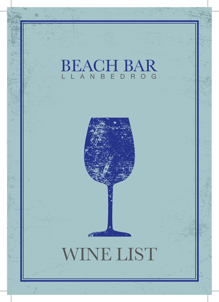## BEACH BAR A N B



## WINE LIST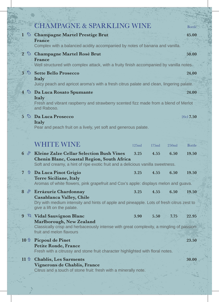|                                                                                                                      | <b>CHAMPAGNE &amp; SPARKLING WINE</b>                                                                                                                                            |       |       |       | Bottle =      |  |  |  |
|----------------------------------------------------------------------------------------------------------------------|----------------------------------------------------------------------------------------------------------------------------------------------------------------------------------|-------|-------|-------|---------------|--|--|--|
|                                                                                                                      | 1 & Champagne Martel Prestige Brut                                                                                                                                               |       |       |       |               |  |  |  |
|                                                                                                                      | France<br>Complex with a balanced acidity accompanied by notes of banana and vanilla.                                                                                            |       |       |       |               |  |  |  |
|                                                                                                                      | 2 & Champagne Martel Rosé Brut<br>France                                                                                                                                         |       |       |       | 50.00         |  |  |  |
|                                                                                                                      | Well structured with complex attack, with a fruity finish accompanied by vanilla notes.                                                                                          |       |       |       |               |  |  |  |
|                                                                                                                      | 3 & Sette Bello Prosecco<br>Italy                                                                                                                                                |       |       |       | 24.00         |  |  |  |
|                                                                                                                      | Juicy peach and apricot aroma's with a fresh citrus palate and clean, lingering palate.                                                                                          |       |       |       |               |  |  |  |
|                                                                                                                      | 4 & Da Luca Rosato Spumante<br>24.00<br>Italy                                                                                                                                    |       |       |       |               |  |  |  |
|                                                                                                                      | Fresh and vibrant raspberry and strawberry scented fizz made from a blend of Merlot<br>and Raboso.                                                                               |       |       |       |               |  |  |  |
|                                                                                                                      | $5 \otimes$ Da Luca Prosecco<br>Italy                                                                                                                                            |       |       |       | 20cl 7.50     |  |  |  |
|                                                                                                                      | Pear and peach fruit on a lively, yet soft and generous palate.                                                                                                                  |       |       |       |               |  |  |  |
|                                                                                                                      |                                                                                                                                                                                  |       |       |       |               |  |  |  |
|                                                                                                                      | <b>WHITE WINE</b>                                                                                                                                                                | 125ml | 175ml | 250ml | <b>Bottle</b> |  |  |  |
| $6 \circ$                                                                                                            | <b>Kleine Zalze Cellar Selection Bush Vines</b><br>Chenin Blanc, Coastal Region, South Africa<br>Soft and creamy, a hint of ripe exotic fruit and a delicious vanilla sweetness. | 3.25  | 4.55  | 6.50  | 19.50         |  |  |  |
| $7\phantom{.}$<br>豐                                                                                                  | Da Luca Pinot Grigio                                                                                                                                                             | 3.25  | 4.55  | 6.50  | 19.50         |  |  |  |
|                                                                                                                      | Terre Siciliane, Italy<br>Aromas of white flowers, pink grapefruit and Cox's apple: displays melon and guava.                                                                    |       |       |       |               |  |  |  |
| $8 \,$                                                                                                               | Errázuriz Chardonnay<br><b>Casablanca Valley, Chile</b>                                                                                                                          | 3.25  | 4.55  | 6.50  | 19.50         |  |  |  |
|                                                                                                                      | Dry with medium intensity and hints of apple and pineapple. Lots of fresh citrus zest to<br>give a lift on the palate.                                                           |       |       |       |               |  |  |  |
| 9 <sup>°</sup>                                                                                                       | Vidal Sauvignon Blanc<br>Marlborough, New Zealand                                                                                                                                | 3.90  | 5.50  | 7.75  | 22.95         |  |  |  |
| Classically crisp and herbaceously intense with great complexity, a mingling of passion-<br>fruit and melon flavours |                                                                                                                                                                                  |       |       |       |               |  |  |  |
| $10 \,$ $\circ$                                                                                                      | <b>Picpoul de Pinet</b><br><b>Petite Ronde, France</b><br>Fresh with a citrussy and stone fruit character highlighted with floral notes.                                         |       |       |       | 23.50         |  |  |  |
| $11$ 豐                                                                                                               | <b>Chablis, Les Sarments</b><br>Vignerons de Chablis, France<br>Citrus and a touch of stone fruit: fresh with a minerally note.                                                  |       |       |       | 30.00         |  |  |  |
|                                                                                                                      |                                                                                                                                                                                  |       |       |       |               |  |  |  |

一部品 医二十二

明書

Ŵ,

þ

E.

ミック・エ

ù,

Ş.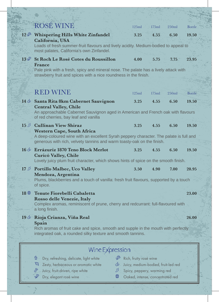|             | <b>ROSÉ WINE</b>                                                                                                                                                                                                                    | 125ml                                                                                                                            | 175ml | 250ml | <b>Bottle</b> |  |
|-------------|-------------------------------------------------------------------------------------------------------------------------------------------------------------------------------------------------------------------------------------|----------------------------------------------------------------------------------------------------------------------------------|-------|-------|---------------|--|
|             | 12 <sup>5</sup> Whispering Hills White Zinfandel<br>California, USA<br>Loads of fresh summer-fruit flavours and lively acidity. Medium-bodied to appeal to<br>most palates, California's own Zinfandel.                             | 3.25                                                                                                                             | 4.55  | 6.50  | 19.50         |  |
| 13          | <b>St Roch Le Rosé Cotes du Roussillon</b><br>France<br>Pale pink with a fresh, spicy and mineral nose. The palate has a lively attack with<br>strawberry fruit and spices with a nice roundness in the finish.                     | 4.00                                                                                                                             | 5.75  | 7.75  | 23.95         |  |
|             | <b>RED WINE</b>                                                                                                                                                                                                                     | 125ml                                                                                                                            | 175ml | 250ml | <b>Bottle</b> |  |
|             | 14 & Santa Rita 8km Cabernet Sauvignon<br><b>Central Valley, Chile</b><br>An approachable Cabernet Sauvignon aged in American and French oak with flavours<br>of red cherries, bay leaf and vanilla                                 | 3.25                                                                                                                             | 4.55  | 6.50  | 19.50         |  |
|             | 15 St Cullinan View Shiraz<br><b>Western Cape, South Africa</b><br>A deep-coloured wine with an excellent Syrah peppery character. The palate is full and<br>generous with rich, velvety tannins and warm toasty-oak on the finish. | 3.25                                                                                                                             | 4.55  | 6.50  | 19.50         |  |
|             | $16 \oplus$ Errázuriz 1870 Teno Block Merlot<br>Curicó Valley, Chile<br>Lovely juicy plum fruit character, which shows hints of spice on the smooth finish.                                                                         | 3.25                                                                                                                             | 4.55  | 6.50  | 19.50         |  |
|             | 17 <b>5</b> Portillo Malbec, Uco Valley<br>Mendoza, Argentina<br>Plums, blackberries and a touch of vanilla: fresh fruit flavours, supported by a touch<br>of spice.                                                                | 3.50                                                                                                                             | 4.90  | 7.00  | 20.95         |  |
| $18 \oplus$ | Tenute Fiorebelli Cabaletta<br>23.00<br>Rosso delle Venezie, Italy<br>Complex aromas, reminiscent of prune, cherry and redcurrant: full-flavoured with<br>a long finish.                                                            |                                                                                                                                  |       |       |               |  |
|             | 19 & Rioja Crianza, Viña Real<br>Spain<br>Rich aromas of fruit cake and spice, smooth and supple in the mouth with perfectly<br>integrated oak, a rounded silky texture and smooth tannins.                                         |                                                                                                                                  |       |       | 26.00         |  |
|             | Wine Expression                                                                                                                                                                                                                     |                                                                                                                                  |       |       |               |  |
|             | S.<br>豐<br>Dry, refreshing, delicate, light white<br>Zesty, herbaceous or aromatic white<br>$\mathcal{D}$<br>F<br>Juicy, fruit-driven, ripe white<br>♪<br>Y<br>冊<br>Dry, elegant rosé wine                                          | Rich, fruity rosé wine<br>Juicy, medium-bodied, fruit-led red<br>Spicy, peppery, warming red<br>Oaked, intense, concentrated red |       |       |               |  |

发 ļ.

ķ.

ù,